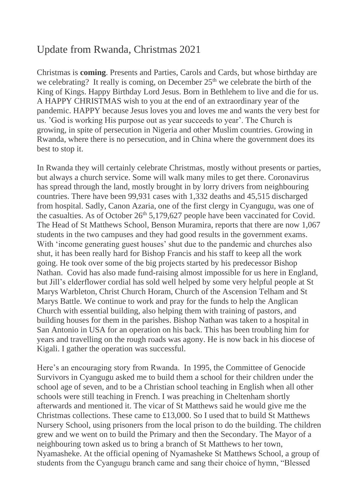## Update from Rwanda, Christmas 2021

Christmas is **coming**. Presents and Parties, Carols and Cards, but whose birthday are we celebrating? It really is coming, on December  $25<sup>th</sup>$  we celebrate the birth of the King of Kings. Happy Birthday Lord Jesus. Born in Bethlehem to live and die for us. A HAPPY CHRISTMAS wish to you at the end of an extraordinary year of the pandemic. HAPPY because Jesus loves you and loves me and wants the very best for us. 'God is working His purpose out as year succeeds to year'. The Church is growing, in spite of persecution in Nigeria and other Muslim countries. Growing in Rwanda, where there is no persecution, and in China where the government does its best to stop it.

In Rwanda they will certainly celebrate Christmas, mostly without presents or parties, but always a church service. Some will walk many miles to get there. Coronavirus has spread through the land, mostly brought in by lorry drivers from neighbouring countries. There have been 99,931 cases with 1,332 deaths and 45,515 discharged from hospital. Sadly, Canon Azaria, one of the first clergy in Cyangugu, was one of the casualties. As of October  $26<sup>th</sup> 5,179,627$  people have been vaccinated for Covid. The Head of St Matthews School, Benson Muramira, reports that there are now 1,067 students in the two campuses and they had good results in the government exams. With 'income generating guest houses' shut due to the pandemic and churches also shut, it has been really hard for Bishop Francis and his staff to keep all the work going. He took over some of the big projects started by his predecessor Bishop Nathan. Covid has also made fund-raising almost impossible for us here in England, but Jill's elderflower cordial has sold well helped by some very helpful people at St Marys Warbleton, Christ Church Horam, Church of the Ascension Telham and St Marys Battle. We continue to work and pray for the funds to help the Anglican Church with essential building, also helping them with training of pastors, and building houses for them in the parishes. Bishop Nathan was taken to a hospital in San Antonio in USA for an operation on his back. This has been troubling him for years and travelling on the rough roads was agony. He is now back in his diocese of Kigali. I gather the operation was successful.

Here's an encouraging story from Rwanda. In 1995, the Committee of Genocide Survivors in Cyangugu asked me to build them a school for their children under the school age of seven, and to be a Christian school teaching in English when all other schools were still teaching in French. I was preaching in Cheltenham shortly afterwards and mentioned it. The vicar of St Matthews said he would give me the Christmas collections. These came to £13,000. So I used that to build St Matthews Nursery School, using prisoners from the local prison to do the building. The children grew and we went on to build the Primary and then the Secondary. The Mayor of a neighbouring town asked us to bring a branch of St Matthews to her town, Nyamasheke. At the official opening of Nyamasheke St Matthews School, a group of students from the Cyangugu branch came and sang their choice of hymn, "Blessed